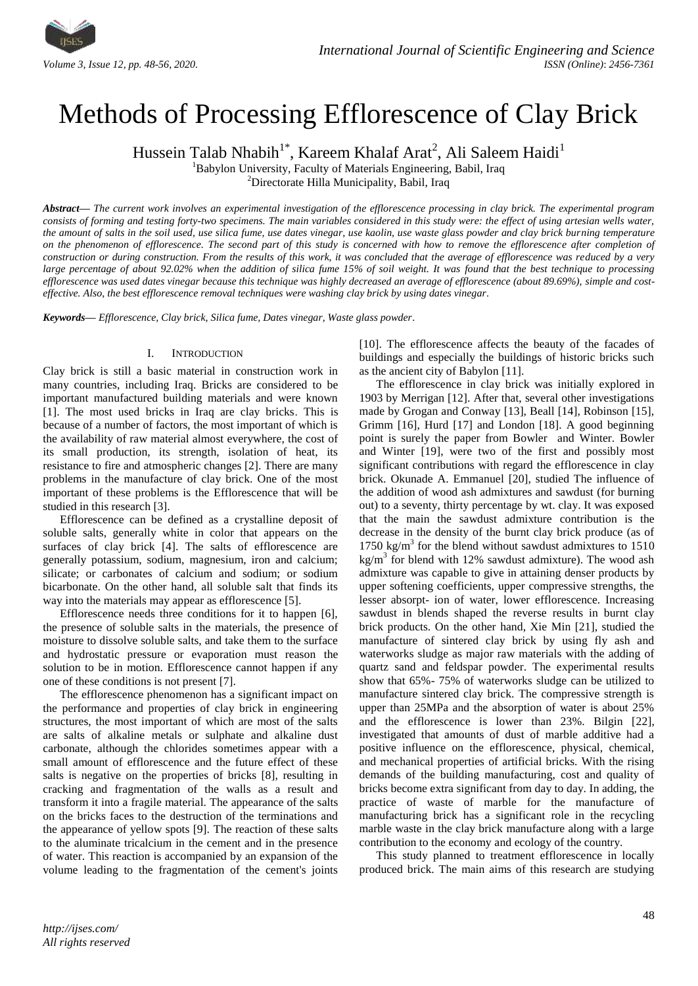

# Methods of Processing Efflorescence of Clay Brick

Hussein Talab Nhabih<sup>1\*</sup>, Kareem Khalaf Arat<sup>2</sup>, Ali Saleem Haidi<sup>1</sup>

<sup>1</sup>Babylon University, Faculty of Materials Engineering, Babil, Iraq

<sup>2</sup>Directorate Hilla Municipality, Babil, Iraq

*Abstract***—** *The current work involves an experimental investigation of the efflorescence processing in clay brick. The experimental program consists of forming and testing forty-two specimens. The main variables considered in this study were: the effect of using artesian wells water, the amount of salts in the soil used, use silica fume, use dates vinegar, use kaolin, use waste glass powder and clay brick burning temperature on the phenomenon of efflorescence. The second part of this study is concerned with how to remove the efflorescence after completion of construction or during construction. From the results of this work, it was concluded that the average of efflorescence was reduced by a very large percentage of about 92.02% when the addition of silica fume 15% of soil weight. It was found that the best technique to processing efflorescence was used dates vinegar because this technique was highly decreased an average of efflorescence (about 89.69%), simple and costeffective. Also, the best efflorescence removal techniques were washing clay brick by using dates vinegar*.

*Keywords— Efflorescence, Clay brick, Silica fume, Dates vinegar, Waste glass powder*.

## I. INTRODUCTION

Clay brick is still a basic material in construction work in many countries, including Iraq. Bricks are considered to be important manufactured building materials and were known [1]. The most used bricks in Iraq are clay bricks. This is because of a number of factors, the most important of which is the availability of raw material almost everywhere, the cost of its small production, its strength, isolation of heat, its resistance to fire and atmospheric changes [2]. There are many problems in the manufacture of clay brick. One of the most important of these problems is the Efflorescence that will be studied in this research [3].

Efflorescence can be defined as a crystalline deposit of soluble salts, generally white in color that appears on the surfaces of clay brick [4]. The salts of efflorescence are generally potassium, sodium, magnesium, iron and calcium; silicate; or carbonates of calcium and sodium; or sodium bicarbonate. On the other hand, all soluble salt that finds its way into the materials may appear as efflorescence [5].

Efflorescence needs three conditions for it to happen [6], the presence of soluble salts in the materials, the presence of moisture to dissolve soluble salts, and take them to the surface and hydrostatic pressure or evaporation must reason the solution to be in motion. Efflorescence cannot happen if any one of these conditions is not present [7].

The efflorescence phenomenon has a significant impact on the performance and properties of clay brick in engineering structures, the most important of which are most of the salts are salts of alkaline metals or sulphate and alkaline dust carbonate, although the chlorides sometimes appear with a small amount of efflorescence and the future effect of these salts is negative on the properties of bricks [8], resulting in cracking and fragmentation of the walls as a result and transform it into a fragile material. The appearance of the salts on the bricks faces to the destruction of the terminations and the appearance of yellow spots [9]. The reaction of these salts to the aluminate tricalcium in the cement and in the presence of water. This reaction is accompanied by an expansion of the volume leading to the fragmentation of the cement's joints [10]. The efflorescence affects the beauty of the facades of buildings and especially the buildings of historic bricks such as the ancient city of Babylon [11].

The efflorescence in clay brick was initially explored in 1903 by Merrigan [12]. After that, several other investigations made by Grogan and Conway [13], Beall [14], Robinson [15], Grimm [16], Hurd [17] and London [18]. A good beginning point is surely the paper from Bowler and Winter. Bowler and Winter [19], were two of the first and possibly most significant contributions with regard the efflorescence in clay brick. Okunade A. Emmanuel [20], studied The influence of the addition of wood ash admixtures and sawdust (for burning out) to a seventy, thirty percentage by wt. clay. It was exposed that the main the sawdust admixture contribution is the decrease in the density of the burnt clay brick produce (as of 1750 kg/m<sup>3</sup> for the blend without sawdust admixtures to  $1510$ kg/m<sup>3</sup> for blend with 12% sawdust admixture). The wood ash admixture was capable to give in attaining denser products by upper softening coefficients, upper compressive strengths, the lesser absorpt- ion of water, lower efflorescence. Increasing sawdust in blends shaped the reverse results in burnt clay brick products. On the other hand, Xie Min [21], studied the manufacture of sintered clay brick by using fly ash and waterworks sludge as major raw materials with the adding of quartz sand and feldspar powder. The experimental results show that 65%- 75% of waterworks sludge can be utilized to manufacture sintered clay brick. The compressive strength is upper than 25MPa and the absorption of water is about 25% and the efflorescence is lower than 23%. Bilgin [22], investigated that amounts of dust of marble additive had a positive influence on the efflorescence, physical, chemical, and mechanical properties of artificial bricks. With the rising demands of the building manufacturing, cost and quality of bricks become extra significant from day to day. In adding, the practice of waste of marble for the manufacture of manufacturing brick has a significant role in the recycling marble waste in the clay brick manufacture along with a large contribution to the economy and ecology of the country.

This study planned to treatment efflorescence in locally produced brick. The main aims of this research are studying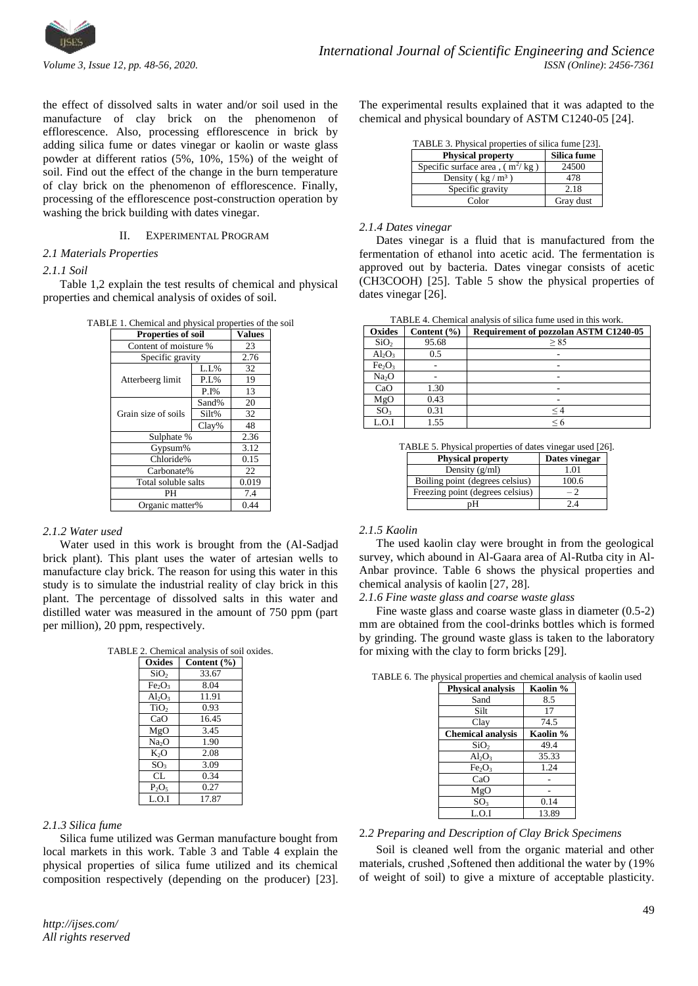

the effect of dissolved salts in water and/or soil used in the manufacture of clay brick on the phenomenon of efflorescence. Also, processing efflorescence in brick by adding silica fume or dates vinegar or kaolin or waste glass powder at different ratios (5%, 10%, 15%) of the weight of soil. Find out the effect of the change in the burn temperature of clay brick on the phenomenon of efflorescence. Finally, processing of the efflorescence post-construction operation by washing the brick building with dates vinegar.

## II. EXPERIMENTAL PROGRAM

## *2.1 Materials Properties*

#### *2.1.1 Soil*

Table 1,2 explain the test results of chemical and physical properties and chemical analysis of oxides of soil.

|  | TABLE 1. Chemical and physical properties of the soil |  |  |  |  |
|--|-------------------------------------------------------|--|--|--|--|
|  |                                                       |  |  |  |  |

| Properties of soil    | <b>Values</b> |      |
|-----------------------|---------------|------|
| Content of moisture % |               | 23   |
| Specific gravity      |               | 2.76 |
|                       | L.L%          | 32   |
| Atterbeerg limit      | P.L%          | 19   |
|                       | $P.I\%$       | 13   |
|                       | Sand%         | 20   |
| Grain size of soils   | Silt%         | 32   |
|                       | Clav%         | 48   |
| Sulphate %            | 2.36          |      |
| Gypsum%               | 3.12          |      |
| Chloride%             | 0.15          |      |
| Carbonate%            | 22.           |      |
| Total soluble salts   | 0.019         |      |
| PH                    | 7.4           |      |
| Organic matter%       | 0.44          |      |

#### *2.1.2 Water used*

Water used in this work is brought from the (Al-Sadjad brick plant). This plant uses the water of artesian wells to manufacture clay brick. The reason for using this water in this study is to simulate the industrial reality of clay brick in this plant. The percentage of dissolved salts in this water and distilled water was measured in the amount of 750 ppm (part per million), 20 ppm, respectively.

TABLE 2. Chemical analysis of soil oxides.

| E 2. Chemical analysis of soll |                 |  |  |  |
|--------------------------------|-----------------|--|--|--|
| Oxides                         | Content $(\% )$ |  |  |  |
| SiO <sub>2</sub>               | 33.67           |  |  |  |
| Fe <sub>2</sub> O <sub>3</sub> | 8.04            |  |  |  |
| $Al_2O_3$                      | 11.91           |  |  |  |
| TiO <sub>2</sub>               | 0.93            |  |  |  |
| CaO                            | 16.45           |  |  |  |
| MgO                            | 3.45            |  |  |  |
| Na <sub>2</sub> O              | 1.90            |  |  |  |
| $K_2O$                         | 2.08            |  |  |  |
| SO <sub>3</sub>                | 3.09            |  |  |  |
| CL                             | 0.34            |  |  |  |
| $P_2O_5$                       | 0.27            |  |  |  |
| L.O.I                          | 17.87           |  |  |  |

# *2.1.3 Silica fume*

Silica fume utilized was German manufacture bought from local markets in this work. Table 3 and Table 4 explain the physical properties of silica fume utilized and its chemical composition respectively (depending on the producer) [23]. The experimental results explained that it was adapted to the chemical and physical boundary of ASTM C1240-05 [24].

| TABLE 3. Physical properties of silica fume [23]. |  |  |  |
|---------------------------------------------------|--|--|--|
|                                                   |  |  |  |

| <b>Physical property</b>           | Silica fume |
|------------------------------------|-------------|
| Specific surface area, $(m^2/kg)$  | 24500       |
| Density ( $\text{kg}/\text{m}^3$ ) | 478         |
| Specific gravity                   | 2.18        |
| Color                              | Gray dust   |

## *2.1.4 Dates vinegar*

Dates vinegar is a fluid that is manufactured from the fermentation of ethanol into acetic acid. The fermentation is approved out by bacteria. Dates vinegar consists of [acetic](https://www.thoughtco.com/vinegar-chemical-formula-and-facts-608481) (CH3COOH) [25]. Table 5 show the physical properties of dates vinegar [26].

| Oxides                         | Content $(\% )$ | <b>Requirement of pozzolan ASTM C1240-05</b> |
|--------------------------------|-----------------|----------------------------------------------|
| SiO <sub>2</sub>               | 95.68           | > 85                                         |
| $Al_2O_3$                      | 0.5             |                                              |
| Fe <sub>2</sub> O <sub>3</sub> |                 |                                              |
| Na <sub>2</sub> O              |                 |                                              |
| CaO                            | 1.30            |                                              |
| MgO                            | 0.43            |                                              |
| SO <sub>3</sub>                | 0.31            | $<$ 4                                        |
| L.O.I                          | 1.55            | < 6                                          |

TABLE 5. Physical properties of dates vinegar used [26].

| <b>Physical property</b>         | Dates vinegar |
|----------------------------------|---------------|
| Density $(g/ml)$                 | $\Omega$      |
| Boiling point (degrees celsius)  | 100.6         |
| Freezing point (degrees celsius) |               |
|                                  |               |

# *2.1.5 Kaolin*

The used kaolin clay were brought in from the geological survey, which abound in Al-Gaara area of Al-Rutba city in Al-Anbar province. Table 6 shows the physical properties and chemical analysis of kaolin [27, 28].

# *2.1.6 Fine waste glass and coarse waste glass*

Fine waste glass and coarse waste glass in diameter (0.5-2) mm are obtained from the cool-drinks bottles which is formed by grinding. The ground waste glass is taken to the laboratory for mixing with the clay to form bricks [29].

| <b>Physical analysis</b>       | Kaolin % |
|--------------------------------|----------|
| Sand                           | 8.5      |
| Silt                           | 17       |
| Clay                           | 74.5     |
| <b>Chemical analysis</b>       | Kaolin % |
| SiO <sub>2</sub>               | 49.4     |
| $Al_2O_3$                      | 35.33    |
| Fe <sub>2</sub> O <sub>3</sub> | 1.24     |
| CaO                            |          |
| MgO                            |          |
| SO <sub>3</sub>                | 0.14     |
| L.O.I                          | 13.89    |

# 2*.2 Preparing and Description of Clay Brick Specimens*

Soil is cleaned well from the organic material and other materials, crushed ,Softened then additional the water by (19% of weight of soil) to give a mixture of acceptable plasticity.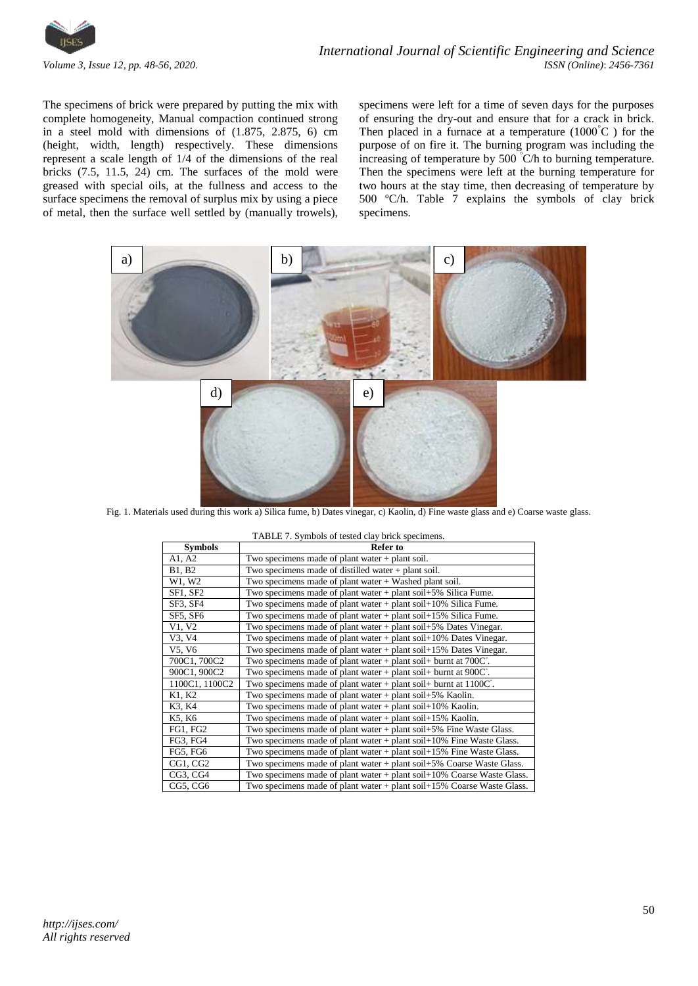

The specimens of brick were prepared by putting the mix with complete homogeneity, Manual compaction continued strong in a steel mold with dimensions of (1.875, 2.875, 6) cm (height, width, length) respectively. These dimensions represent a scale length of 1/4 of the dimensions of the real bricks (7.5, 11.5, 24) cm. The surfaces of the mold were greased with special oils, at the fullness and access to the surface specimens the removal of surplus mix by using a piece of metal, then the surface well settled by (manually trowels),

specimens were left for a time of seven days for the purposes of ensuring the dry-out and ensure that for a crack in brick. Then placed in a furnace at a temperature  $(1000^{\circ}C)$  for the purpose of on fire it. The burning program was including the increasing of temperature by 500 <sup>º</sup>C/h to burning temperature. Then the specimens were left at the burning temperature for two hours at the stay time, then decreasing of temperature by 500 ºC/h. Table 7 explains the symbols of clay brick specimens.



Fig. 1. Materials used during this work a) Silica fume, b) Dates vinegar, c) Kaolin, d) Fine waste glass and e) Coarse waste glass.

| TABLE 7. Symbols of tested clay brick specimens. |                                                                                  |  |  |  |  |
|--------------------------------------------------|----------------------------------------------------------------------------------|--|--|--|--|
| <b>Symbols</b>                                   | <b>Refer to</b>                                                                  |  |  |  |  |
| A1, A2                                           | Two specimens made of plant water $+$ plant soil.                                |  |  |  |  |
| B1, B2                                           | Two specimens made of distilled water $+$ plant soil.                            |  |  |  |  |
| W1, W2                                           | Two specimens made of plant water $+$ Washed plant soil.                         |  |  |  |  |
| <b>SF1, SF2</b>                                  | Two specimens made of plant water $+$ plant soil $+5\%$ Silica Fume.             |  |  |  |  |
| SF3, SF4                                         | Two specimens made of plant water $+$ plant soil $+10\%$ Silica Fume.            |  |  |  |  |
| SF5, SF6                                         | Two specimens made of plant water $+$ plant soil $+15\%$ Silica Fume.            |  |  |  |  |
| V1, V2                                           | Two specimens made of plant water $+$ plant soil $+5\%$ Dates Vinegar.           |  |  |  |  |
| V3, V4                                           | Two specimens made of plant water $+$ plant soil $+10\%$ Dates Vinegar.          |  |  |  |  |
| V5, V6                                           | Two specimens made of plant water $+$ plant soil $+15\%$ Dates Vinegar.          |  |  |  |  |
| 700C1, 700C2                                     | Two specimens made of plant water $+$ plant soil $+$ burnt at 700 $C^{\circ}$ .  |  |  |  |  |
| 900C1, 900C2                                     | Two specimens made of plant water $+$ plant soil $+$ burnt at 900 $C^{\circ}$ .  |  |  |  |  |
| 1100C1, 1100C2                                   | Two specimens made of plant water $+$ plant soil $+$ burnt at 1100 $C^{\circ}$ . |  |  |  |  |
| K1, K2                                           | Two specimens made of plant water $+$ plant soil $+5\%$ Kaolin.                  |  |  |  |  |
| K3, K4                                           | Two specimens made of plant water $+$ plant soil $+10\%$ Kaolin.                 |  |  |  |  |
| K5, K6                                           | Two specimens made of plant water $+$ plant soil $+15\%$ Kaolin.                 |  |  |  |  |
| FG1, FG2                                         | Two specimens made of plant water $+$ plant soil $+5\%$ Fine Waste Glass.        |  |  |  |  |
| FG3, FG4                                         | Two specimens made of plant water $+$ plant soil $+10\%$ Fine Waste Glass.       |  |  |  |  |
| FG5, FG6                                         | Two specimens made of plant water $+$ plant soil $+15\%$ Fine Waste Glass.       |  |  |  |  |
| CG1, CG2                                         | Two specimens made of plant water + plant soil+5% Coarse Waste Glass.            |  |  |  |  |
| CG3, CG4                                         | Two specimens made of plant water $+$ plant soil $+10\%$ Coarse Waste Glass.     |  |  |  |  |
| CG5, CG6                                         | Two specimens made of plant water $+$ plant soil $+15\%$ Coarse Waste Glass.     |  |  |  |  |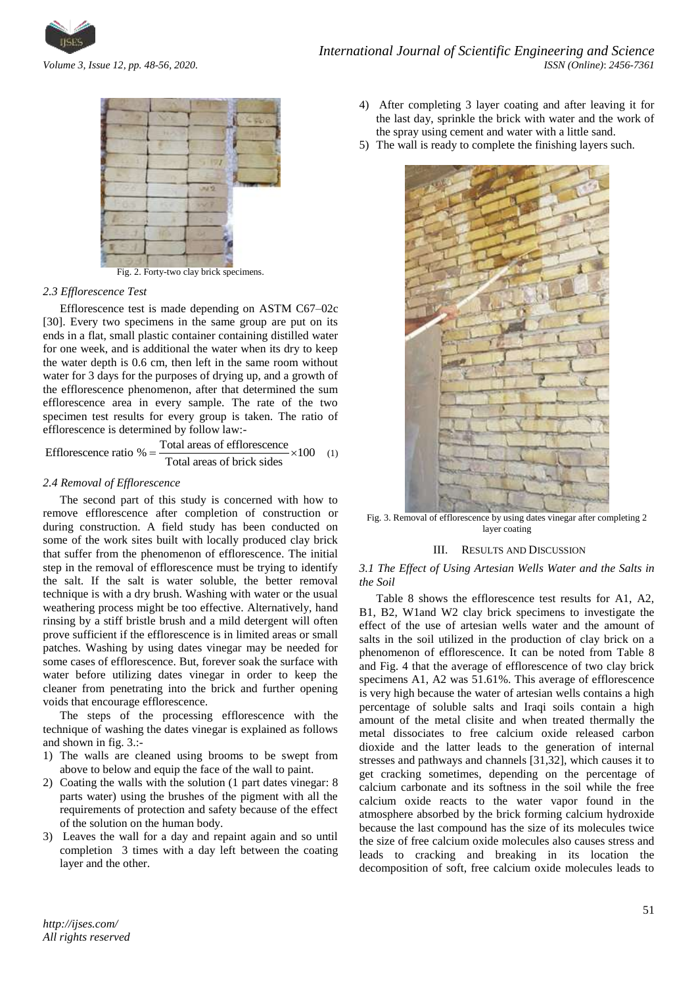



Fig. 2. Forty-two clay brick specimens.

## *2.3 Efflorescence Test*

Efflorescence test is made depending on ASTM C67–02c [30]. Every two specimens in the same group are put on its ends in a flat, small plastic container containing distilled water for one week, and is additional the water when its dry to keep the water depth is 0.6 cm, then left in the same room without water for 3 days for the purposes of drying up, and a growth of the efflorescence phenomenon, after that determined the sum efflorescence area in every sample. The rate of the two specimen test results for every group is taken. The ratio of

efflorescence is determined by follow law:-  
\nEfflorescence ratio % = 
$$
\frac{\text{Total areas of efflorescence}}{\text{Total areas of brick sides}} \times 100
$$
 (1)

## *2.4 Removal of Efflorescence*

The second part of this study is concerned with how to remove efflorescence after completion of construction or during construction. A field study has been conducted on some of the work sites built with locally produced clay brick that suffer from the phenomenon of efflorescence. The initial step in the removal of efflorescence must be trying to identify the salt. If the salt is water soluble, the better removal technique is with a dry brush. Washing with water or the usual weathering process might be too effective. Alternatively, hand rinsing by a stiff bristle brush and a mild detergent will often prove sufficient if the efflorescence is in limited areas or small patches. Washing by using dates vinegar may be needed for some cases of efflorescence. But, forever soak the surface with water before utilizing dates vinegar in order to keep the cleaner from penetrating into the brick and further opening voids that encourage efflorescence.

The steps of the processing efflorescence with the technique of washing the dates vinegar is explained as follows and shown in fig. 3.:-

- 1) The walls are cleaned using brooms to be swept from above to below and equip the face of the wall to paint.
- 2) Coating the walls with the solution (1 part dates vinegar: 8 parts water) using the brushes of the pigment with all the requirements of protection and safety because of the effect of the solution on the human body.
- 3) Leaves the wall for a day and repaint again and so until completion 3 times with a day left between the coating layer and the other.
- 4) After completing 3 layer coating and after leaving it for the last day, sprinkle the brick with water and the work of the spray using cement and water with a little sand.
- 5) The wall is ready to complete the finishing layers such.



Fig. 3. Removal of efflorescence by using dates vinegar after completing 2 layer coating

#### III. RESULTS AND DISCUSSION

*3.1 The Effect of Using Artesian Wells Water and the Salts in the Soil*

Table 8 shows the efflorescence test results for A1, A2, B1, B2, W1and W2 clay brick specimens to investigate the effect of the use of artesian wells water and the amount of salts in the soil utilized in the production of clay brick on a phenomenon of efflorescence. It can be noted from Table 8 and Fig. 4 that the average of efflorescence of two clay brick specimens A1, A2 was 51.61%. This average of efflorescence is very high because the water of artesian wells contains a high percentage of soluble salts and Iraqi soils contain a high amount of the metal clisite and when treated thermally the metal dissociates to free calcium oxide released carbon dioxide and the latter leads to the generation of internal stresses and pathways and channels [31,32], which causes it to get cracking sometimes, depending on the percentage of calcium carbonate and its softness in the soil while the free calcium oxide reacts to the water vapor found in the atmosphere absorbed by the brick forming calcium hydroxide because the last compound has the size of its molecules twice the size of free calcium oxide molecules also causes stress and leads to cracking and breaking in its location the decomposition of soft, free calcium oxide molecules leads to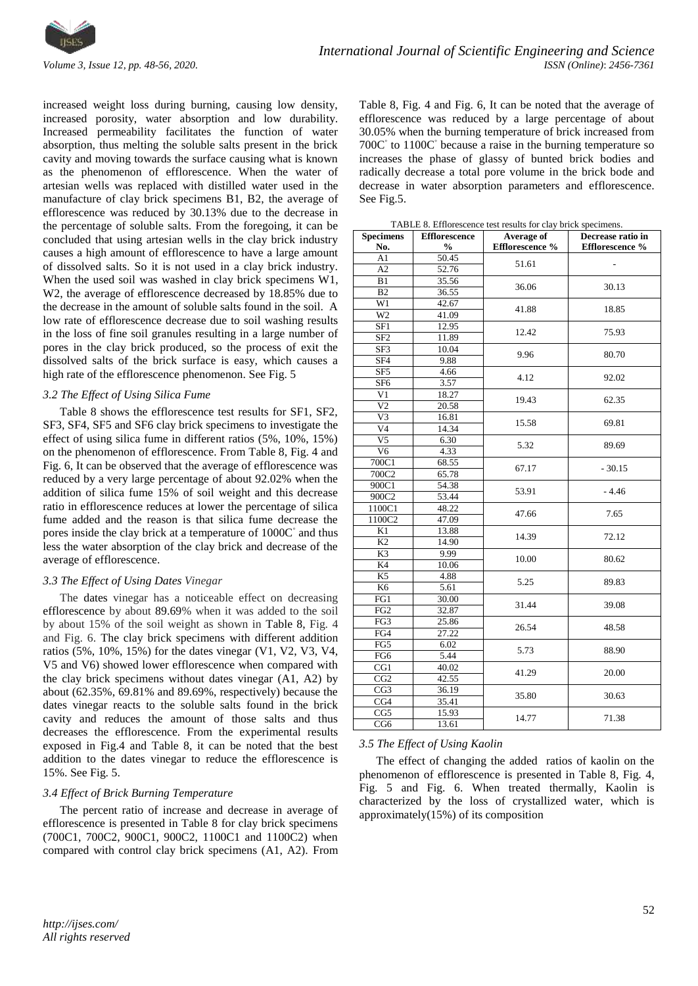

increased weight loss during burning, causing low density, increased porosity, water absorption and low durability. Increased permeability facilitates the function of water absorption, thus melting the soluble salts present in the brick cavity and moving towards the surface causing what is known as the phenomenon of efflorescence. When the water of artesian wells was replaced with distilled water used in the manufacture of clay brick specimens B1, B2, the average of efflorescence was reduced by 30.13% due to the decrease in the percentage of soluble salts. From the foregoing, it can be concluded that using artesian wells in the clay brick industry causes a high amount of efflorescence to have a large amount of dissolved salts. So it is not used in a clay brick industry. When the used soil was washed in clay brick specimens W1, W2, the average of efflorescence decreased by 18.85% due to the decrease in the amount of soluble salts found in the soil. A low rate of efflorescence decrease due to soil washing results in the loss of fine soil granules resulting in a large number of pores in the clay brick produced, so the process of exit the dissolved salts of the brick surface is easy, which causes a high rate of the efflorescence phenomenon. See Fig. 5

# *3.2 The Effect of Using Silica Fume*

Table 8 shows the efflorescence test results for SF1, SF2, SF3, SF4, SF5 and SF6 clay brick specimens to investigate the effect of using silica fume in different ratios (5%, 10%, 15%) on the phenomenon of efflorescence. From Table 8, Fig. 4 and Fig. 6, It can be observed that the average of efflorescence was reduced by a very large percentage of about 92.02% when the addition of silica fume 15% of soil weight and this decrease ratio in efflorescence reduces at lower the percentage of silica fume added and the reason is that silica fume decrease the pores inside the clay brick at a temperature of 1000C $^{\circ}$  and thus less the water absorption of the clay brick and decrease of the average of efflorescence.

# *3.3 The Effect of Using Dates Vinegar*

The dates vinegar has a noticeable effect on decreasing efflorescence by about 89.69% when it was added to the soil by about 15% of the soil weight as shown in Table 8, Fig. 4 and Fig. 6. The clay brick specimens with different addition ratios (5%, 10%, 15%) for the dates vinegar (V1, V2, V3, V4, V5 and V6) showed lower efflorescence when compared with the clay brick specimens without dates vinegar (A1, A2) by about (62.35%, 69.81% and 89.69%, respectively) because the dates vinegar reacts to the soluble salts found in the brick cavity and reduces the amount of those salts and thus decreases the efflorescence. From the experimental results exposed in Fig.4 and Table 8, it can be noted that the best addition to the dates vinegar to reduce the efflorescence is 15%. See Fig. 5.

#### *3.4 Effect of Brick Burning Temperature*

The percent ratio of increase and decrease in average of efflorescence is presented in Table 8 for clay brick specimens (700C1, 700C2, 900C1, 900C2, 1100C1 and 1100C2) when compared with control clay brick specimens (A1, A2). From Table 8, Fig. 4 and Fig. 6, It can be noted that the average of efflorescence was reduced by a large percentage of about 30.05% when the burning temperature of brick increased from 700C $\degree$  to 1100C $\degree$  because a raise in the burning temperature so increases the phase of glassy of bunted brick bodies and radically decrease a total pore volume in the brick bode and decrease in water absorption parameters and efflorescence. See Fig.5.

TABLE 8. Efflorescence test results for clay brick specimens.

| <b>Specimens</b> | <b>Efflorescence</b> | <b>Average of</b> | Decrease ratio in |  |
|------------------|----------------------|-------------------|-------------------|--|
| No.              | $\frac{0}{0}$        | Efflorescence %   | Efflorescence %   |  |
| A1               | 50.45                | 51.61             |                   |  |
| $\overline{A2}$  | 52.76                |                   |                   |  |
| B1               | 35.56                | 36.06             | 30.13             |  |
| B2               | 36.55                |                   |                   |  |
| $\overline{W1}$  | 42.67                | 41.88             | 18.85             |  |
| $\overline{W2}$  | 41.09                |                   |                   |  |
| SF1              | 12.95                | 12.42             | 75.93             |  |
| SF <sub>2</sub>  | 11.89                |                   |                   |  |
| SF3              | 10.04                | 9.96              | 80.70             |  |
| SF <sub>4</sub>  | 9.88                 |                   |                   |  |
| SF <sub>5</sub>  | 4.66                 | 4.12              | 92.02             |  |
| SF <sub>6</sub>  | 3.57                 |                   |                   |  |
| V1               | 18.27                | 19.43             | 62.35             |  |
| V <sub>2</sub>   | 20.58                |                   |                   |  |
| V <sub>3</sub>   | 16.81                | 15.58             | 69.81             |  |
| V <sub>4</sub>   | 14.34                |                   |                   |  |
| V5               | 6.30                 | 5.32              | 89.69             |  |
| V <sub>6</sub>   | 4.33                 |                   |                   |  |
| 700C1            | 68.55                | 67.17             | $-30.15$          |  |
| 700C2            | 65.78                |                   |                   |  |
| 900C1            | 54.38                | 53.91             | $-4.46$           |  |
| 900C2            | 53.44                |                   |                   |  |
| 1100C1           | 48.22                | 47.66             | 7.65              |  |
| 1100C2           | 47.09                |                   |                   |  |
| K1               | 13.88                | 14.39             | 72.12             |  |
| K2               | 14.90                |                   |                   |  |
| K3               | 9.99                 | 10.00             | 80.62             |  |
| K <sub>4</sub>   | 10.06                |                   |                   |  |
| K5               | 4.88                 | 5.25              | 89.83             |  |
| K <sub>6</sub>   | 5.61                 |                   |                   |  |
| FG1              | 30.00                | 31.44             | 39.08             |  |
| FG <sub>2</sub>  | 32.87                |                   |                   |  |
| FG3              | 25.86                | 26.54             | 48.58             |  |
| $FG\overline{4}$ | 27.22                |                   |                   |  |
| FG5              | 6.02                 | 5.73              | 88.90             |  |
| FG6              | 5.44                 |                   |                   |  |
| CG1              | 40.02                | 41.29             | 20.00             |  |
| CG2              | 42.55                |                   |                   |  |
| CG3              | 36.19                | 35.80             | 30.63             |  |
| CG4              | 35.41                |                   |                   |  |
| $\overline{CG5}$ | 15.93                | 14.77             | 71.38             |  |
| CG <sub>6</sub>  | 13.61                |                   |                   |  |

# *3.5 The Effect of Using Kaolin*

The effect of changing the added ratios of kaolin on the phenomenon of efflorescence is presented in Table 8, Fig. 4, Fig. 5 and Fig. 6. When treated thermally, Kaolin is characterized by the loss of crystallized water, which is approximately(15%) of its composition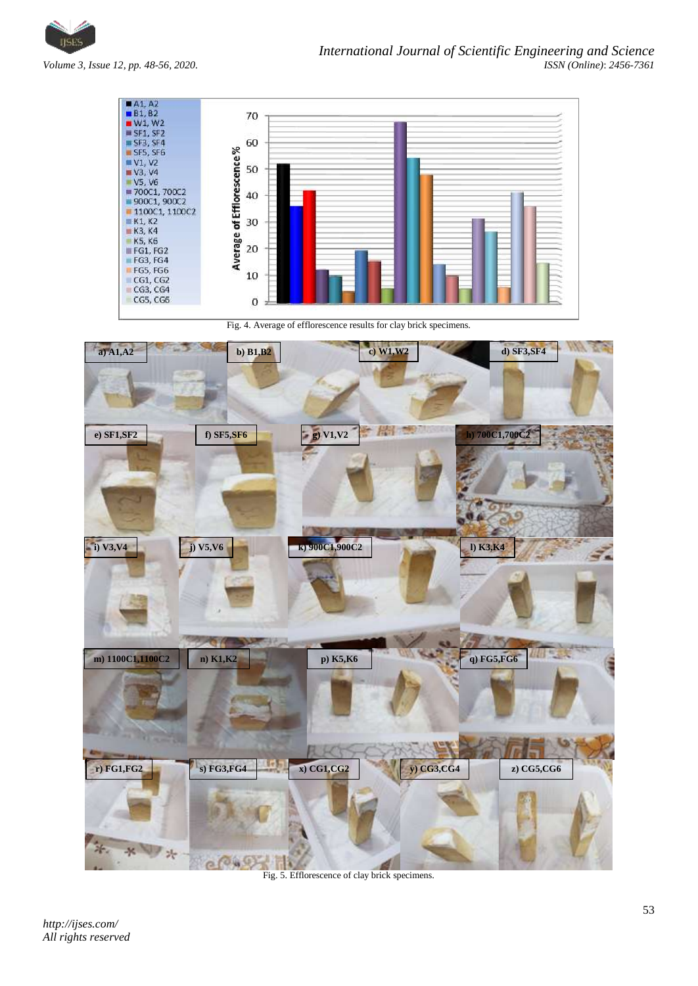

 $A1, A2$ <br> $B1, B2$ <br> $W1, W2$ 70 **W SF1, SF2**  $SF3, SF4$ 60  $SFS, SFG$ <br> $V1, V2$ Average of Efflorescence%  $V1, V2$ <br>  $V3, V4$ <br>  $V5, V6$ <br>  $= 700C1, 700C2$ <br>  $= 900C1, 900C2$ 50 40 1100C1, 1100C2  $K1, K2$ 30  $K3, K4$ **K5, K6**<br>**FG1, FG2**<br>**FG3, FG4** 20 FG5, FG6  $10$  $CG3, CG4$ CG5, CG6  $\overline{O}$ Fig. 4. Average of efflorescence results for clay brick specimens. W **a) A1,A2 b) B1,B2 c) W1,W2 d) SF3,SF4 e) SF1,SF2 f) SF5,SF6 g) V1,V2 h) 700C1,700C2 i**) **V5,V6 k**) **900C1,900C2 l l**) **K3,K4 m) 1100C1,1100C2 n) K1,K2 p) K5,K6 q) FG5,FG6 r) FG1,FG2 s) FG3,FG4 x) CG1,CG2 y) CG3,CG4 z) CG5,CG6**\* V \*

Fig. 5. Efflorescence of clay brick specimens.

 $e^{(0)}$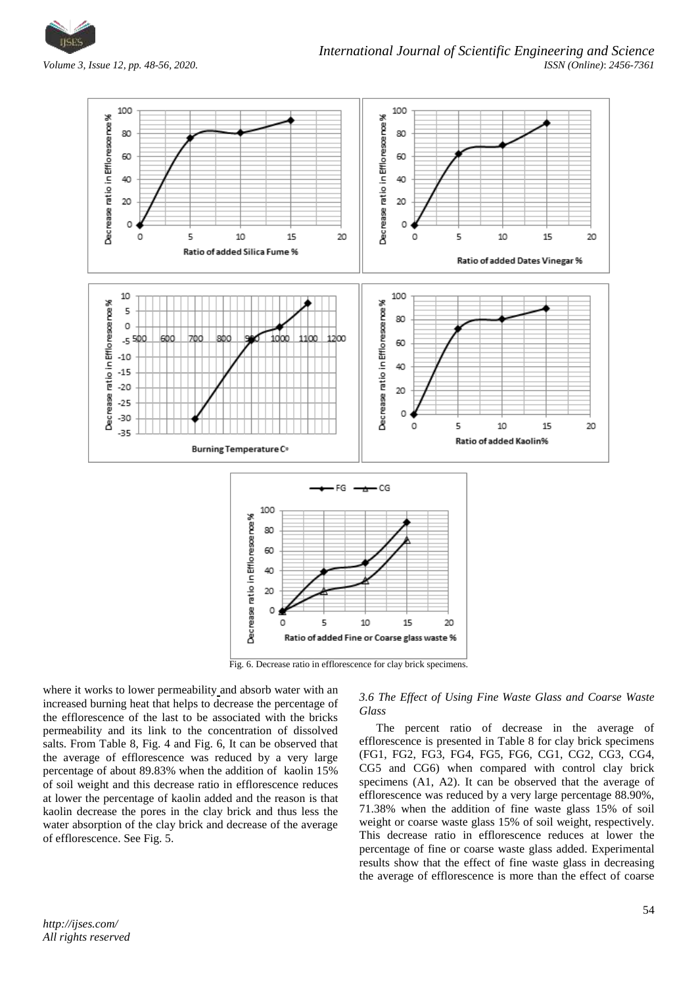



where it works to lower permeability and absorb water with an increased burning heat that helps to decrease the percentage of the efflorescence of the last to be associated with the bricks permeability and its link to the concentration of dissolved salts. From Table 8, Fig. 4 and Fig. 6, It can be observed that the average of efflorescence was reduced by a very large percentage of about 89.83% when the addition of kaolin 15% of soil weight and this decrease ratio in efflorescence reduces at lower the percentage of kaolin added and the reason is that kaolin decrease the pores in the clay brick and thus less the water absorption of the clay brick and decrease of the average of efflorescence. See Fig. 5.

*3.6 The Effect of Using Fine Waste Glass and Coarse Waste Glass*

The percent ratio of decrease in the average of efflorescence is presented in Table 8 for clay brick specimens (FG1, FG2, FG3, FG4, FG5, FG6, CG1, CG2, CG3, CG4, CG5 and CG6) when compared with control clay brick specimens (A1, A2). It can be observed that the average of efflorescence was reduced by a very large percentage 88.90%, 71.38% when the addition of fine waste glass 15% of soil weight or coarse waste glass 15% of soil weight, respectively. This decrease ratio in efflorescence reduces at lower the percentage of fine or coarse waste glass added. Experimental results show that the effect of fine waste glass in decreasing the average of efflorescence is more than the effect of coarse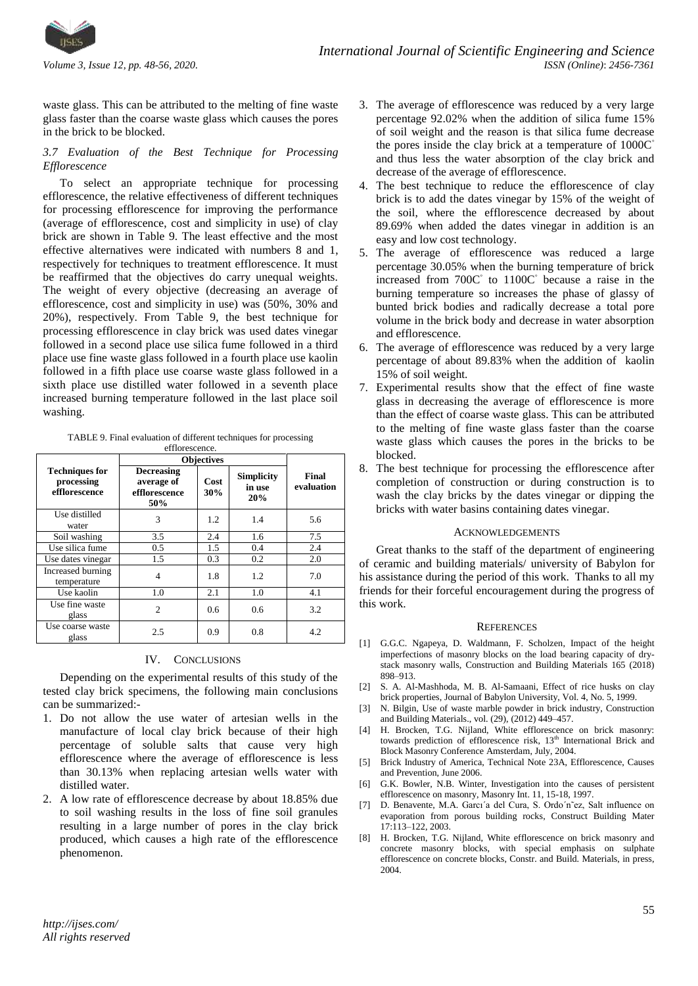

waste glass. This can be attributed to the melting of fine waste glass faster than the coarse waste glass which causes the pores in the brick to be blocked.

## *3.7 Evaluation of the Best Technique for Processing Efflorescence*

To select an appropriate technique for processing efflorescence, the relative effectiveness of different techniques for processing efflorescence for improving the performance (average of efflorescence, cost and simplicity in use) of clay brick are shown in Table 9. The least effective and the most effective alternatives were indicated with numbers 8 and 1, respectively for techniques to treatment efflorescence. It must be reaffirmed that the objectives do carry unequal weights. The weight of every objective (decreasing an average of efflorescence, cost and simplicity in use) was (50%, 30% and 20%), respectively. From Table 9, the best technique for processing efflorescence in clay brick was used dates vinegar followed in a second place use silica fume followed in a third place use fine waste glass followed in a fourth place use kaolin followed in a fifth place use coarse waste glass followed in a sixth place use distilled water followed in a seventh place increased burning temperature followed in the last place soil washing.

TABLE 9. Final evaluation of different techniques for processing efflorescence.

|                                                      | <b>Objectives</b>                                       |               |                                    |                     |
|------------------------------------------------------|---------------------------------------------------------|---------------|------------------------------------|---------------------|
| <b>Techniques for</b><br>processing<br>efflorescence | <b>Decreasing</b><br>average of<br>efflorescence<br>50% | Cost<br>30%   | <b>Simplicity</b><br>in use<br>20% | Final<br>evaluation |
| Use distilled<br>water                               | 3                                                       | 1.2           | 1.4                                | 5.6                 |
| Soil washing                                         | 3.5                                                     | 2.4           | 1.6                                | 7.5                 |
| Use silica fume                                      | 0.5                                                     | 1.5           | 0.4                                | 2.4                 |
| Use dates vinegar                                    | 1.5                                                     | 0.3           | 0.2                                | 2.0                 |
| Increased burning<br>temperature                     | 4                                                       | 1.8           | 1.2                                | 7.0                 |
| Use kaolin                                           | 1.0                                                     | 2.1           | 1.0                                | 4.1                 |
| Use fine waste<br>glass                              | $\overline{c}$                                          | $0.6^{\circ}$ | 0.6                                | 3.2                 |
| Use coarse waste<br>glass                            | 2.5                                                     | 0.9           | 0.8                                | 4.2                 |

#### IV. CONCLUSIONS

Depending on the experimental results of this study of the tested clay brick specimens, the following main conclusions can be summarized:-

- 1. Do not allow the use water of artesian wells in the manufacture of local clay brick because of their high percentage of soluble salts that cause very high efflorescence where the average of efflorescence is less than 30.13% when replacing artesian wells water with distilled water.
- 2. A low rate of efflorescence decrease by about 18.85% due to soil washing results in the loss of fine soil granules resulting in a large number of pores in the clay brick produced, which causes a high rate of the efflorescence phenomenon.
- 3. The average of efflorescence was reduced by a very large percentage 92.02% when the addition of silica fume 15% of soil weight and the reason is that silica fume decrease the pores inside the clay brick at a temperature of  $1000C<sup>°</sup>$ and thus less the water absorption of the clay brick and decrease of the average of efflorescence.
- 4. The best technique to reduce the efflorescence of clay brick is to add the dates vinegar by 15% of the weight of the soil, where the efflorescence decreased by about 89.69% when added the dates vinegar in addition is an easy and low cost technology.
- 5. The average of efflorescence was reduced a large percentage 30.05% when the burning temperature of brick increased from 700C◦ to 1100C◦ because a raise in the burning temperature so increases the phase of glassy of bunted brick bodies and radically decrease a total pore volume in the brick body and decrease in water absorption and efflorescence.
- 6. The average of efflorescence was reduced by a very large percentage of about 89.83% when the addition of kaolin 15% of soil weight.
- 7. Experimental results show that the effect of fine waste glass in decreasing the average of efflorescence is more than the effect of coarse waste glass. This can be attributed to the melting of fine waste glass faster than the coarse waste glass which causes the pores in the bricks to be blocked.
- 8. The best technique for processing the efflorescence after completion of construction or during construction is to wash the clay bricks by the dates vinegar or dipping the bricks with water basins containing dates vinegar.

#### ACKNOWLEDGEMENTS

Great thanks to the staff of the department of engineering of ceramic and building materials/ university of Babylon for his assistance during the period of this work. Thanks to all my friends for their forceful encouragement during the progress of this work.

#### **REFERENCES**

- [1] G.G.C. Ngapeya, D. Waldmann, F. Scholzen, Impact of the height imperfections of masonry blocks on the load bearing capacity of drystack masonry walls, Construction and Building Materials 165 (2018) 898–913.
- [2] S. A. Al-Mashhoda, M. B. Al-Samaani, Effect of rice husks on clay brick properties, Journal of Babylon University, Vol. 4, No. 5, 1999.
- [3] N. Bilgin, Use of waste marble powder in brick industry, Construction and Building Materials., vol. (29), (2012) 449–457.
- [4] H. Brocken, T.G. Nijland, White efflorescence on brick masonry: towards prediction of efflorescence risk, 13<sup>th</sup> International Brick and Block Masonry Conference Amsterdam, July, 2004.
- [5] Brick Industry of America, Technical Note 23A, Efflorescence, Causes and Prevention, June 2006.
- [6] G.K. Bowler, N.B. Winter, Investigation into the causes of persistent efflorescence on masonry, Masonry Int. 11, 15-18, 1997.
- [7] D. Benavente, M.A. Garcı´a del Cura, S. Ordo´n˜ez, Salt influence on evaporation from porous building rocks, Construct Building Mater 17:113–122, 2003.
- [8] H. Brocken, T.G. Nijland, White efflorescence on brick masonry and concrete masonry blocks, with special emphasis on sulphate efflorescence on concrete blocks, Constr. and Build. Materials, in press, 2004.